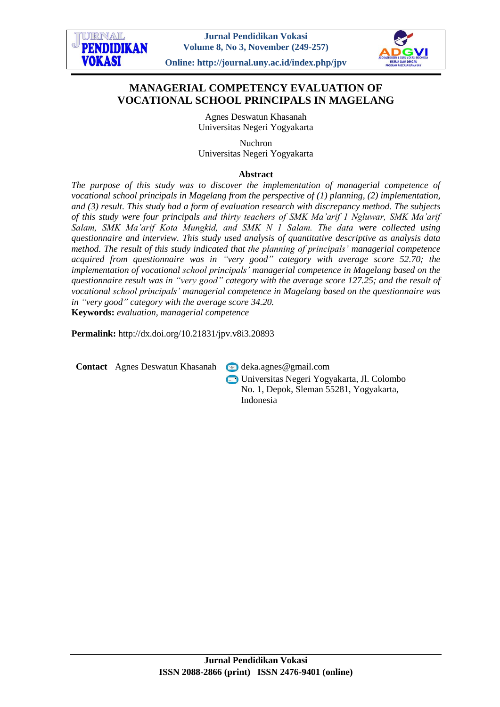

# **MANAGERIAL COMPETENCY EVALUATION OF VOCATIONAL SCHOOL PRINCIPALS IN MAGELANG**

Agnes Deswatun Khasanah Universitas Negeri Yogyakarta

Nuchron Universitas Negeri Yogyakarta

## **Abstract**

*The purpose of this study was to discover the implementation of managerial competence of vocational school principals in Magelang from the perspective of (1) planning, (2) implementation, and (3) result. This study had a form of evaluation research with discrepancy method. The subjects of this study were four principals and thirty teachers of SMK Ma'arif 1 Ngluwar, SMK Ma'arif Salam, SMK Ma'arif Kota Mungkid, and SMK N 1 Salam. The data were collected using questionnaire and interview. This study used analysis of quantitative descriptive as analysis data method. The result of this study indicated that the planning of principals' managerial competence acquired from questionnaire was in "very good" category with average score 52.70; the implementation of vocational school principals' managerial competence in Magelang based on the questionnaire result was in "very good" category with the average score 127.25; and the result of vocational school principals' managerial competence in Magelang based on the questionnaire was in "very good" category with the average score 34.20.* **Keywords:** *evaluation, managerial competence*

**Permalink:** http://dx.doi.org/10.21831/jpv.v8i3.20893

**Contact** Agnes Deswatun Khasanah **v** [deka.agnes@gmail.com](mailto:deka.agnes@gmail.com)

Universitas Negeri Yogyakarta, Jl. Colombo No. 1, Depok, Sleman 55281, Yogyakarta, Indonesia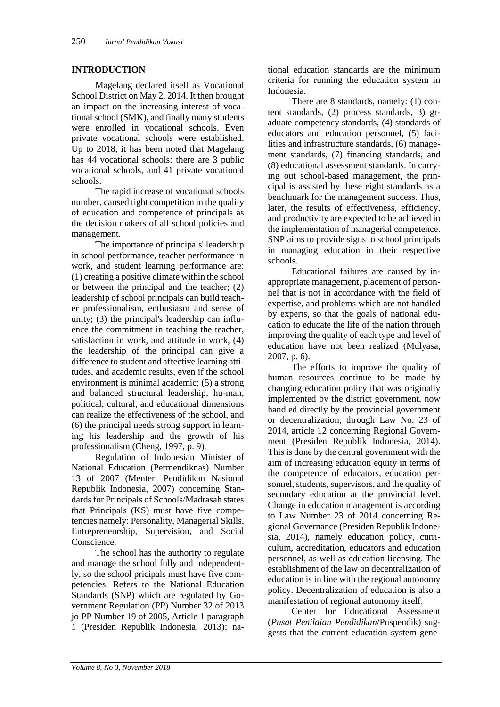### **INTRODUCTION**

Magelang declared itself as Vocational School District on May 2, 2014. It then brought an impact on the increasing interest of vocational school (SMK), and finally many students were enrolled in vocational schools. Even private vocational schools were established. Up to 2018, it has been noted that Magelang has 44 vocational schools: there are 3 public vocational schools, and 41 private vocational schools.

The rapid increase of vocational schools number, caused tight competition in the quality of education and competence of principals as the decision makers of all school policies and management.

The importance of principals' leadership in school performance, teacher performance in work, and student learning performance are: (1) creating a positive climate within the school or between the principal and the teacher; (2) leadership of school principals can build teacher professionalism, enthusiasm and sense of unity; (3) the principal's leadership can influence the commitment in teaching the teacher, satisfaction in work, and attitude in work, (4) the leadership of the principal can give a difference to student and affective learning attitudes, and academic results, even if the school environment is minimal academic; (5) a strong and balanced structural leadership, hu-man, political, cultural, and educational dimensions can realize the effectiveness of the school, and (6) the principal needs strong support in learning his leadership and the growth of his professionalism (Cheng, 1997, p. 9).

Regulation of Indonesian Minister of National Education (Permendiknas) Number 13 of 2007 (Menteri Pendidikan Nasional Republik Indonesia, 2007) concerning Standards for Principals of Schools/Madrasah states that Principals (KS) must have five competencies namely: Personality, Managerial Skills, Entrepreneurship, Supervision, and Social Conscience.

The school has the authority to regulate and manage the school fully and independently, so the school pricipals must have five competencies. Refers to the National Education Standards (SNP) which are regulated by Government Regulation (PP) Number 32 of 2013 jo PP Number 19 of 2005, Article 1 paragraph 1 (Presiden Republik Indonesia, 2013); national education standards are the minimum criteria for running the education system in Indonesia.

There are 8 standards, namely: (1) content standards, (2) process standards, 3) graduate competency standards, (4) standards of educators and education personnel, (5) facilities and infrastructure standards, (6) management standards, (7) financing standards, and (8) educational assessment standards. In carrying out school-based management, the principal is assisted by these eight standards as a benchmark for the management success. Thus, later, the results of effectiveness, efficiency, and productivity are expected to be achieved in the implementation of managerial competence. SNP aims to provide signs to school principals in managing education in their respective schools.

Educational failures are caused by inappropriate management, placement of personnel that is not in accordance with the field of expertise, and problems which are not handled by experts, so that the goals of national education to educate the life of the nation through improving the quality of each type and level of education have not been realized (Mulyasa, 2007, p. 6).

The efforts to improve the quality of human resources continue to be made by changing education policy that was originally implemented by the district government, now handled directly by the provincial government or decentralization, through Law No. 23 of 2014, article 12 concerning Regional Government (Presiden Republik Indonesia, 2014). This is done by the central government with the aim of increasing education equity in terms of the competence of educators, education personnel, students, supervisors, and the quality of secondary education at the provincial level. Change in education management is according to Law Number 23 of 2014 concerning Regional Governance (Presiden Republik Indonesia, 2014), namely education policy, curriculum, accreditation, educators and education personnel, as well as education licensing. The establishment of the law on decentralization of education is in line with the regional autonomy policy. Decentralization of education is also a manifestation of regional autonomy itself.

Center for Educational Assessment (*Pusat Penilaian Pendidikan*/Puspendik) suggests that the current education system gene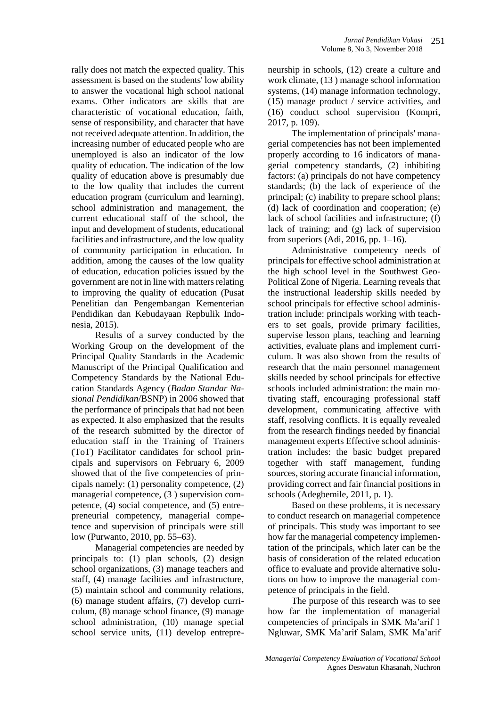rally does not match the expected quality. This assessment is based on the students' low ability to answer the vocational high school national exams. Other indicators are skills that are characteristic of vocational education, faith, sense of responsibility, and character that have not received adequate attention. In addition, the increasing number of educated people who are unemployed is also an indicator of the low quality of education. The indication of the low quality of education above is presumably due to the low quality that includes the current education program (curriculum and learning), school administration and management, the current educational staff of the school, the input and development of students, educational facilities and infrastructure, and the low quality of community participation in education. In addition, among the causes of the low quality of education, education policies issued by the government are not in line with matters relating to improving the quality of education (Pusat Penelitian dan Pengembangan Kementerian Pendidikan dan Kebudayaan Repbulik Indonesia, 2015).

Results of a survey conducted by the Working Group on the development of the Principal Quality Standards in the Academic Manuscript of the Principal Qualification and Competency Standards by the National Education Standards Agency (*Badan Standar Nasional Pendidikan*/BSNP) in 2006 showed that the performance of principals that had not been as expected. It also emphasized that the results of the research submitted by the director of education staff in the Training of Trainers (ToT) Facilitator candidates for school principals and supervisors on February 6, 2009 showed that of the five competencies of principals namely: (1) personality competence, (2) managerial competence, (3 ) supervision competence, (4) social competence, and (5) entrepreneurial competency, managerial competence and supervision of principals were still low (Purwanto, 2010, pp. 55–63).

Managerial competencies are needed by principals to: (1) plan schools, (2) design school organizations, (3) manage teachers and staff, (4) manage facilities and infrastructure, (5) maintain school and community relations, (6) manage student affairs, (7) develop curriculum, (8) manage school finance, (9) manage school administration, (10) manage special school service units, (11) develop entrepre-

neurship in schools, (12) create a culture and work climate, (13 ) manage school information systems, (14) manage information technology, (15) manage product / service activities, and (16) conduct school supervision (Kompri, 2017, p. 109).

The implementation of principals' managerial competencies has not been implemented properly according to 16 indicators of managerial competency standards, (2) inhibiting factors: (a) principals do not have competency standards; (b) the lack of experience of the principal; (c) inability to prepare school plans; (d) lack of coordination and cooperation; (e) lack of school facilities and infrastructure; (f) lack of training; and (g) lack of supervision from superiors (Adi, 2016, pp. 1–16).

Administrative competency needs of principals for effective school administration at the high school level in the Southwest Geo-Political Zone of Nigeria. Learning reveals that the instructional leadership skills needed by school principals for effective school administration include: principals working with teachers to set goals, provide primary facilities, supervise lesson plans, teaching and learning activities, evaluate plans and implement curriculum. It was also shown from the results of research that the main personnel management skills needed by school principals for effective schools included administration: the main motivating staff, encouraging professional staff development, communicating affective with staff, resolving conflicts. It is equally revealed from the research findings needed by financial management experts Effective school administration includes: the basic budget prepared together with staff management, funding sources, storing accurate financial information, providing correct and fair financial positions in schools (Adegbemile, 2011, p. 1).

Based on these problems, it is necessary to conduct research on managerial competence of principals. This study was important to see how far the managerial competency implementation of the principals, which later can be the basis of consideration of the related education office to evaluate and provide alternative solutions on how to improve the managerial competence of principals in the field.

The purpose of this research was to see how far the implementation of managerial competencies of principals in SMK Ma'arif 1 Ngluwar, SMK Ma'arif Salam, SMK Ma'arif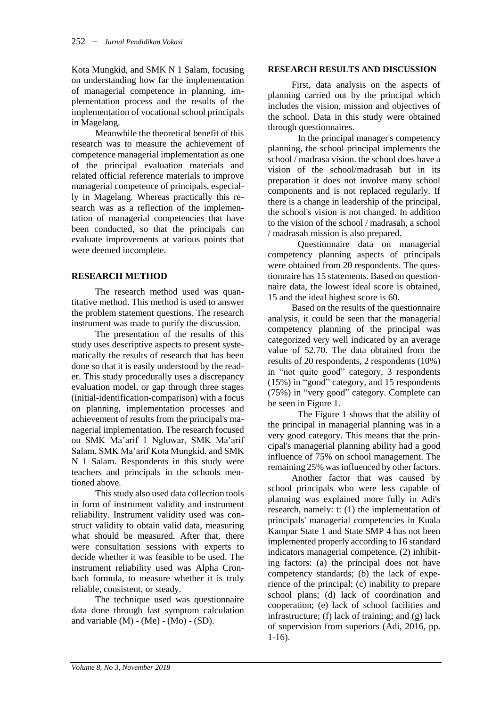Kota Mungkid, and SMK N 1 Salam, focusing on understanding how far the implementation of managerial competence in planning, implementation process and the results of the implementation of vocational school principals in Magelang.

Meanwhile the theoretical benefit of this research was to measure the achievement of competence managerial implementation as one of the principal evaluation materials and related official reference materials to improve managerial competence of principals, especially in Magelang. Whereas practically this research was as a reflection of the implementation of managerial competencies that have been conducted, so that the principals can evaluate improvements at various points that were deemed incomplete.

## **RESEARCH METHOD**

The research method used was quantitative method. This method is used to answer the problem statement questions. The research instrument was made to purify the discussion.

The presentation of the results of this study uses descriptive aspects to present systematically the results of research that has been done so that it is easily understood by the reader. This study procedurally uses a discrepancy evaluation model, or gap through three stages (initial-identification-comparison) with a focus on planning, implementation processes and achievement of results from the principal's managerial implementation. The research focused on SMK Ma'arif 1 Ngluwar, SMK Ma'arif Salam, SMK Ma'arif Kota Mungkid, and SMK N 1 Salam. Respondents in this study were teachers and principals in the schools mentioned above.

This study also used data collection tools in form of instrument validity and instrument reliability. Instrument validity used was construct validity to obtain valid data, measuring what should be measured. After that, there were consultation sessions with experts to decide whether it was feasible to be used. The instrument reliability used was Alpha Cronbach formula, to measure whether it is truly reliable, consistent, or steady.

The technique used was questionnaire data done through fast symptom calculation and variable  $(M) - (Me) - (Mo) - (SD)$ .

### **RESEARCH RESULTS AND DISCUSSION**

First, data analysis on the aspects of planning carried out by the principal which includes the vision, mission and objectives of the school. Data in this study were obtained through questionnaires.

In the principal manager's competency planning, the school principal implements the school / madrasa vision. the school does have a vision of the school/madrasah but in its preparation it does not involve many school components and is not replaced regularly. If there is a change in leadership of the principal, the school's vision is not changed. In addition to the vision of the school / madrasah, a school / madrasah mission is also prepared.

Questionnaire data on managerial competency planning aspects of principals were obtained from 20 respondents. The questionnaire has 15 statements. Based on questionnaire data, the lowest ideal score is obtained, 15 and the ideal highest score is 60.

Based on the results of the questionnaire analysis, it could be seen that the managerial competency planning of the principal was categorized very well indicated by an average value of 52.70. The data obtained from the results of 20 respondents, 2 respondents (10%) in "not quite good" category, 3 respondents (15%) in "good" category, and 15 respondents (75%) in "very good" category. Complete can be seen in Figure 1.

The Figure 1 shows that the ability of the principal in managerial planning was in a very good category. This means that the principal's managerial planning ability had a good influence of 75% on school management. The remaining 25% was influenced by other factors.

Another factor that was caused by school principals who were less capable of planning was explained more fully in Adi's research, namely: t: (1) the implementation of principals' managerial competencies in Kuala Kampar State 1 and State SMP 4 has not been implemented properly according to 16 standard indicators managerial competence, (2) inhibiting factors: (a) the principal does not have competency standards; (b) the lack of experience of the principal; (c) inability to prepare school plans; (d) lack of coordination and cooperation; (e) lack of school facilities and infrastructure; (f) lack of training; and (g) lack of supervision from superiors (Adi, 2016, pp. 1-16).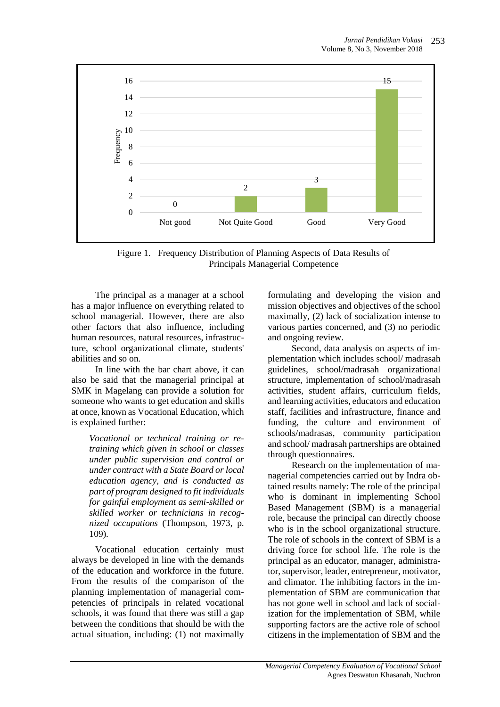

Figure 1. Frequency Distribution of Planning Aspects of Data Results of Principals Managerial Competence

The principal as a manager at a school has a major influence on everything related to school managerial. However, there are also other factors that also influence, including human resources, natural resources, infrastructure, school organizational climate, students' abilities and so on.

In line with the bar chart above, it can also be said that the managerial principal at SMK in Magelang can provide a solution for someone who wants to get education and skills at once, known as Vocational Education, which is explained further:

*Vocational or technical training or retraining which given in school or classes under public supervision and control or under contract with a State Board or local education agency, and is conducted as part of program designed to fit individuals for gainful employment as semi-skilled or skilled worker or technicians in recognized occupations* (Thompson, 1973, p. 109)*.*

Vocational education certainly must always be developed in line with the demands of the education and workforce in the future. From the results of the comparison of the planning implementation of managerial competencies of principals in related vocational schools, it was found that there was still a gap between the conditions that should be with the actual situation, including: (1) not maximally

formulating and developing the vision and mission objectives and objectives of the school maximally, (2) lack of socialization intense to various parties concerned, and (3) no periodic and ongoing review.

Second, data analysis on aspects of implementation which includes school/ madrasah guidelines, school/madrasah organizational structure, implementation of school/madrasah activities, student affairs, curriculum fields, and learning activities, educators and education staff, facilities and infrastructure, finance and funding, the culture and environment of schools/madrasas, community participation and school/ madrasah partnerships are obtained through questionnaires.

Research on the implementation of managerial competencies carried out by Indra obtained results namely: The role of the principal who is dominant in implementing School Based Management (SBM) is a managerial role, because the principal can directly choose who is in the school organizational structure. The role of schools in the context of SBM is a driving force for school life. The role is the principal as an educator, manager, administrator, supervisor, leader, entrepreneur, motivator, and climator. The inhibiting factors in the implementation of SBM are communication that has not gone well in school and lack of socialization for the implementation of SBM, while supporting factors are the active role of school citizens in the implementation of SBM and the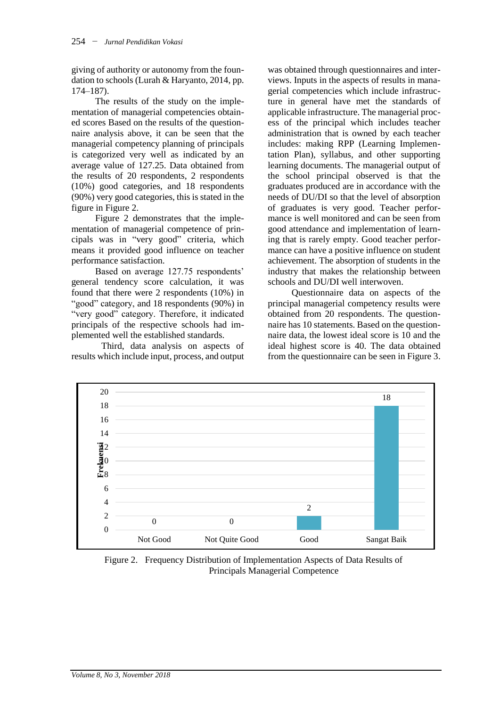giving of authority or autonomy from the foundation to schools (Lurah & Haryanto, 2014, pp. 174–187).

The results of the study on the implementation of managerial competencies obtained scores Based on the results of the questionnaire analysis above, it can be seen that the managerial competency planning of principals is categorized very well as indicated by an average value of 127.25. Data obtained from the results of 20 respondents, 2 respondents (10%) good categories, and 18 respondents (90%) very good categories, this is stated in the figure in Figure 2.

Figure 2 demonstrates that the implementation of managerial competence of principals was in "very good" criteria, which means it provided good influence on teacher performance satisfaction.

Based on average 127.75 respondents' general tendency score calculation, it was found that there were 2 respondents (10%) in "good" category, and 18 respondents (90%) in "very good" category. Therefore, it indicated principals of the respective schools had implemented well the established standards.

Third, data analysis on aspects of results which include input, process, and output

was obtained through questionnaires and interviews. Inputs in the aspects of results in managerial competencies which include infrastructure in general have met the standards of applicable infrastructure. The managerial process of the principal which includes teacher administration that is owned by each teacher includes: making RPP (Learning Implementation Plan), syllabus, and other supporting learning documents. The managerial output of the school principal observed is that the graduates produced are in accordance with the needs of DU/DI so that the level of absorption of graduates is very good. Teacher performance is well monitored and can be seen from good attendance and implementation of learning that is rarely empty. Good teacher performance can have a positive influence on student achievement. The absorption of students in the industry that makes the relationship between schools and DU/DI well interwoven.

Questionnaire data on aspects of the principal managerial competency results were obtained from 20 respondents. The questionnaire has 10 statements. Based on the questionnaire data, the lowest ideal score is 10 and the ideal highest score is 40. The data obtained from the questionnaire can be seen in Figure 3.



Figure 2. Frequency Distribution of Implementation Aspects of Data Results of Principals Managerial Competence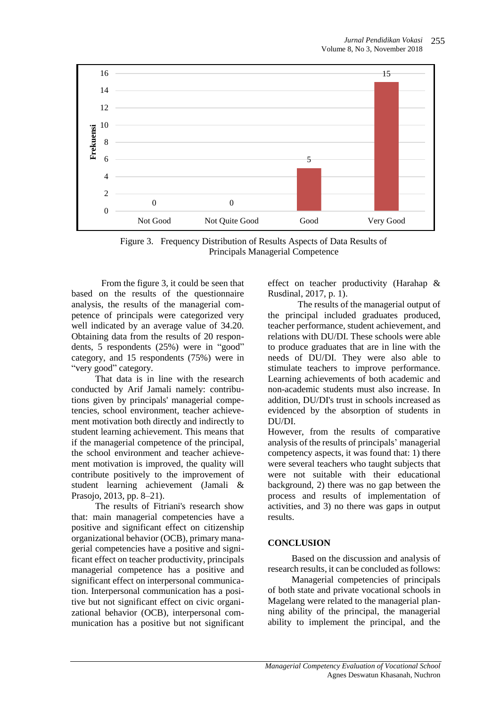

Figure 3. Frequency Distribution of Results Aspects of Data Results of Principals Managerial Competence

From the figure 3, it could be seen that based on the results of the questionnaire analysis, the results of the managerial competence of principals were categorized very well indicated by an average value of 34.20. Obtaining data from the results of 20 respondents, 5 respondents (25%) were in "good" category, and 15 respondents (75%) were in "very good" category.

That data is in line with the research conducted by Arif Jamali namely: contributions given by principals' managerial competencies, school environment, teacher achievement motivation both directly and indirectly to student learning achievement. This means that if the managerial competence of the principal, the school environment and teacher achievement motivation is improved, the quality will contribute positively to the improvement of student learning achievement (Jamali & Prasojo, 2013, pp. 8–21).

The results of Fitriani's research show that: main managerial competencies have a positive and significant effect on citizenship organizational behavior (OCB), primary managerial competencies have a positive and significant effect on teacher productivity, principals managerial competence has a positive and significant effect on interpersonal communication. Interpersonal communication has a positive but not significant effect on civic organizational behavior (OCB), interpersonal communication has a positive but not significant

effect on teacher productivity (Harahap & Rusdinal, 2017, p. 1).

The results of the managerial output of the principal included graduates produced, teacher performance, student achievement, and relations with DU/DI. These schools were able to produce graduates that are in line with the needs of DU/DI. They were also able to stimulate teachers to improve performance. Learning achievements of both academic and non-academic students must also increase. In addition, DU/DI's trust in schools increased as evidenced by the absorption of students in DU/DI.

However, from the results of comparative analysis of the results of principals' managerial competency aspects, it was found that: 1) there were several teachers who taught subjects that were not suitable with their educational background, 2) there was no gap between the process and results of implementation of activities, and 3) no there was gaps in output results.

## **CONCLUSION**

Based on the discussion and analysis of research results, it can be concluded as follows:

Managerial competencies of principals of both state and private vocational schools in Magelang were related to the managerial planning ability of the principal, the managerial ability to implement the principal, and the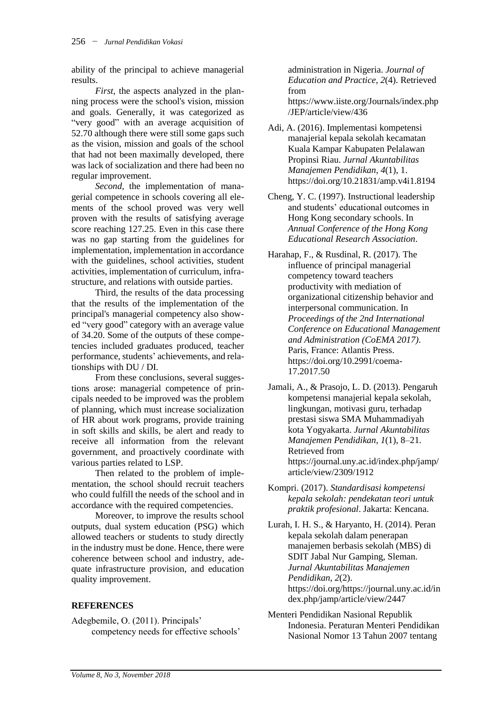ability of the principal to achieve managerial results.

*First*, the aspects analyzed in the planning process were the school's vision, mission and goals. Generally, it was categorized as "very good" with an average acquisition of 52.70 although there were still some gaps such as the vision, mission and goals of the school that had not been maximally developed, there was lack of socialization and there had been no regular improvement.

*Second*, the implementation of managerial competence in schools covering all elements of the school proved was very well proven with the results of satisfying average score reaching 127.25. Even in this case there was no gap starting from the guidelines for implementation, implementation in accordance with the guidelines, school activities, student activities, implementation of curriculum, infrastructure, and relations with outside parties.

Third, the results of the data processing that the results of the implementation of the principal's managerial competency also showed "very good" category with an average value of 34.20. Some of the outputs of these competencies included graduates produced, teacher performance, students' achievements, and relationships with DU / DI.

From these conclusions, several suggestions arose: managerial competence of principals needed to be improved was the problem of planning, which must increase socialization of HR about work programs, provide training in soft skills and skills, be alert and ready to receive all information from the relevant government, and proactively coordinate with various parties related to LSP.

Then related to the problem of implementation, the school should recruit teachers who could fulfill the needs of the school and in accordance with the required competencies.

Moreover, to improve the results school outputs, dual system education (PSG) which allowed teachers or students to study directly in the industry must be done. Hence, there were coherence between school and industry, adequate infrastructure provision, and education quality improvement.

### **REFERENCES**

Adegbemile, O. (2011). Principals' competency needs for effective schools'

administration in Nigeria. *Journal of Education and Practice*, *2*(4). Retrieved from https://www.iiste.org/Journals/index.php /JEP/article/view/436

Adi, A. (2016). Implementasi kompetensi manajerial kepala sekolah kecamatan Kuala Kampar Kabupaten Pelalawan Propinsi Riau. *Jurnal Akuntabilitas Manajemen Pendidikan*, *4*(1), 1. https://doi.org/10.21831/amp.v4i1.8194

Cheng, Y. C. (1997). Instructional leadership and students' educational outcomes in Hong Kong secondary schools. In *Annual Conference of the Hong Kong Educational Research Association*.

- Harahap, F., & Rusdinal, R. (2017). The influence of principal managerial competency toward teachers productivity with mediation of organizational citizenship behavior and interpersonal communication. In *Proceedings of the 2nd International Conference on Educational Management and Administration (CoEMA 2017)*. Paris, France: Atlantis Press. https://doi.org/10.2991/coema-17.2017.50
- Jamali, A., & Prasojo, L. D. (2013). Pengaruh kompetensi manajerial kepala sekolah, lingkungan, motivasi guru, terhadap prestasi siswa SMA Muhammadiyah kota Yogyakarta. *Jurnal Akuntabilitas Manajemen Pendidikan*, *1*(1), 8–21. Retrieved from https://journal.uny.ac.id/index.php/jamp/ article/view/2309/1912
- Kompri. (2017). *Standardisasi kompetensi kepala sekolah: pendekatan teori untuk praktik profesional*. Jakarta: Kencana.

Lurah, I. H. S., & Haryanto, H. (2014). Peran kepala sekolah dalam penerapan manajemen berbasis sekolah (MBS) di SDIT Jabal Nur Gamping, Sleman. *Jurnal Akuntabilitas Manajemen Pendidikan*, *2*(2). https://doi.org/https://journal.uny.ac.id/in dex.php/jamp/article/view/2447

Menteri Pendidikan Nasional Republik Indonesia. Peraturan Menteri Pendidikan Nasional Nomor 13 Tahun 2007 tentang